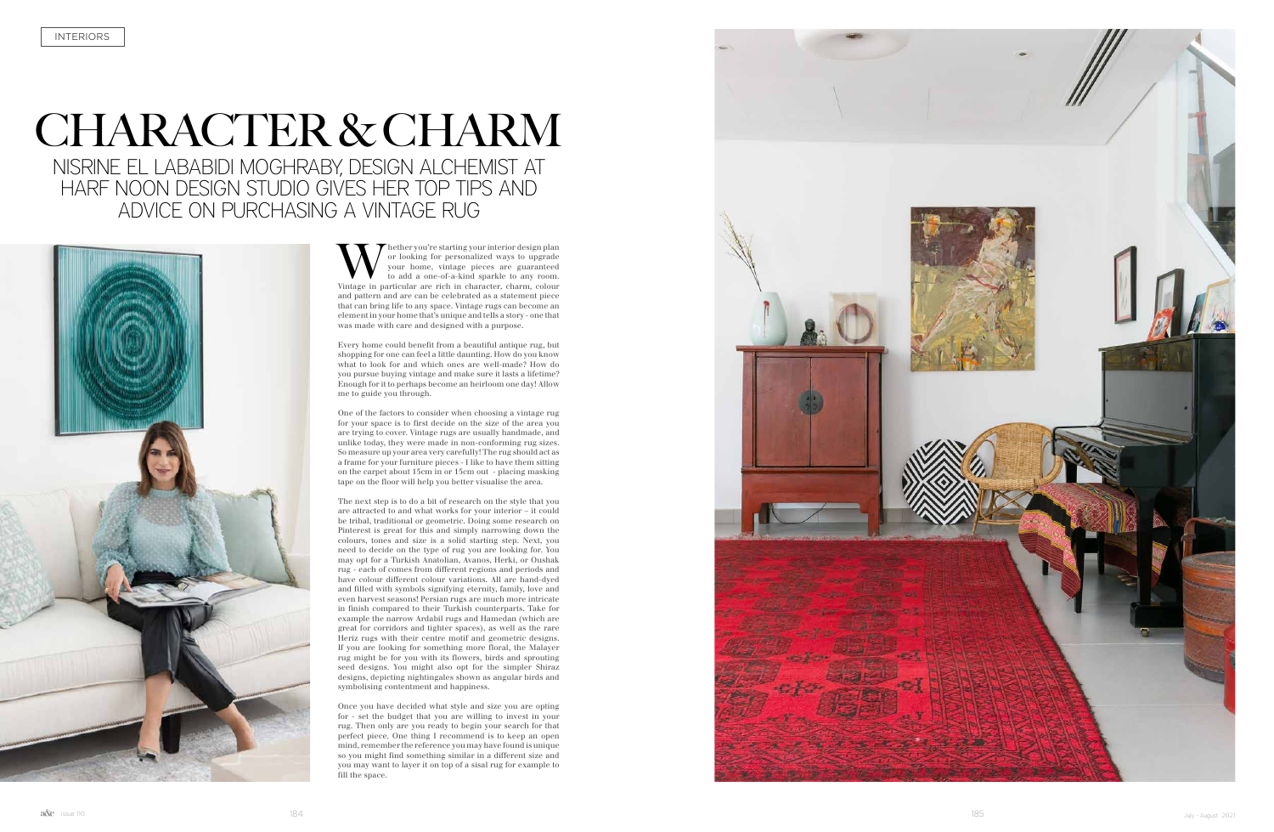## CHARACTER & CHARM NISRINE EL LABABIDI MOGHRABY, DESIGN ALCHEMIST AT

HARF NOON DESIGN STUDIO GIVES HER TOP TIPS AND ADVICE ON PURCHASING A VINTAGE RUG



Whether you're starting your interior design plan or looking for personalized ways to upgrade your home, vintage pieces are guaranteed to add a one-of-a-kind sparkle to any room.<br>Vintage in particular are rich in character or looking for personalized ways to upgrade your home, vintage pieces are guaranteed to add a one-of-a-kind sparkle to any room. and pattern and are can be celebrated as a statement piece that can bring life to any space. Vintage rugs can become an element in your home that's unique and tells a story - one that was made with care and designed with a purpose.

Every home could benefit from a beautiful antique rug, but shopping for one can feel a little daunting. How do you know what to look for and which ones are well-made? How do you pursue buying vintage and make sure it lasts a lifetime? Enough for it to perhaps become an heirloom one day! Allow me to guide you through.

One of the factors to consider when choosing a vintage rug for your space is to first decide on the size of the area you are trying to cover. Vintage rugs are usually handmade, and unlike today, they were made in non-conforming rug sizes. So measure up your area very carefully! The rug should act as a frame for your furniture pieces - I like to have them sitting on the carpet about 15cm in or 15cm out - placing masking tape on the floor will help you better visualise the area.

The next step is to do a bit of research on the style that you are attracted to and what works for your interior – it could be tribal, traditional or geometric. Doing some research on Pinterest is great for this and simply narrowing down the colours, tones and size is a solid starting step. Next, you need to decide on the type of rug you are looking for. You may opt for a Turkish Anatolian, Avanos, Herki, or Oushak rug - each of comes from different regions and periods and have colour different colour variations. All are hand-dyed and filled with symbols signifying eternity, family, love and even harvest seasons! Persian rugs are much more intricate in finish compared to their Turkish counterparts. Take for example the narrow Ardabil rugs and Hamedan (which are great for corridors and tighter spaces), as well as the rare Heriz rugs with their centre motif and geometric designs. If you are looking for something more floral, the Malayer rug might be for you with its flowers, birds and sprouting seed designs. You might also opt for the simpler Shiraz designs, depicting nightingales shown as angular birds and symbolising contentment and happiness.

Once you have decided what style and size you are opting for - set the budget that you are willing to invest in your rug. Then only are you ready to begin your search for that perfect piece. One thing I recommend is to keep an open mind, remember the reference you may have found is unique so you might find something similar in a different size and you may want to layer it on top of a sisal rug for example to fill the space.